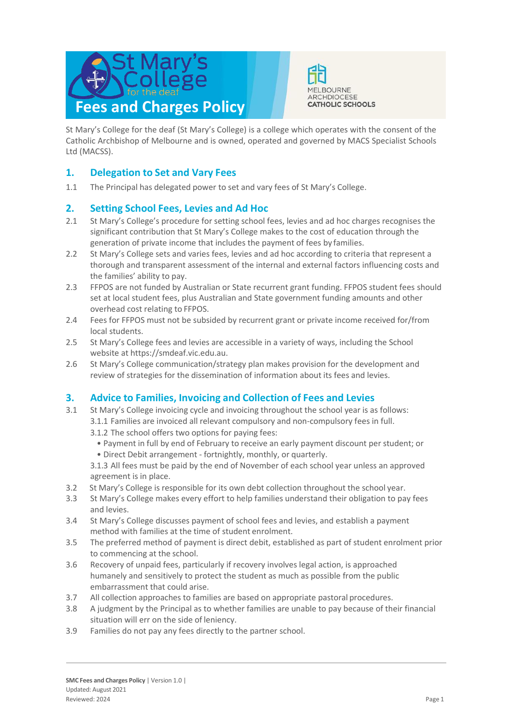



St Mary's College for the deaf (St Mary's College) is a college which operates with the consent of the Catholic Archbishop of Melbourne and is owned, operated and governed by MACS Specialist Schools Ltd (MACSS).

## **1. Delegation to Set and Vary Fees**

1.1 The Principal has delegated power to set and vary fees of St Mary's College.

## **2. Setting School Fees, Levies and Ad Hoc**

- 2.1 St Mary's College's procedure for setting school fees, levies and ad hoc charges recognises the significant contribution that St Mary's College makes to the cost of education through the generation of private income that includes the payment of fees by families.
- 2.2 St Mary's College sets and varies fees, levies and ad hoc according to criteria that represent a thorough and transparent assessment of the internal and external factors influencing costs and the families' ability to pay.
- 2.3 FFPOS are not funded by Australian or State recurrent grant funding. FFPOS student fees should set at local student fees, plus Australian and State government funding amounts and other overhead cost relating to FFPOS.
- 2.4 Fees for FFPOS must not be subsided by recurrent grant or private income received for/from local students.
- 2.5 St Mary's College fees and levies are accessible in a variety of ways, including the School website at https://smdeaf.vic.edu.au.
- 2.6 St Mary's College communication/strategy plan makes provision for the development and review of strategies for the dissemination of information about its fees and levies.

## **3. Advice to Families, Invoicing and Collection of Fees and Levies**

- 3.1 St Mary's College invoicing cycle and invoicing throughout the school year is as follows: 3.1.1 Families are invoiced all relevant compulsory and non-compulsory fees in full.
	- 3.1.2 The school offers two options for paying fees:
		- Payment in full by end of February to receive an early payment discount per student; or
		- Direct Debit arrangement fortnightly, monthly, or quarterly.

3.1.3 All fees must be paid by the end of November of each school year unless an approved agreement is in place.

- 3.2 St Mary's College is responsible for its own debt collection throughout the school year.
- 3.3 St Mary's College makes every effort to help families understand their obligation to pay fees and levies.
- 3.4 St Mary's College discusses payment of school fees and levies, and establish a payment method with families at the time of student enrolment.
- 3.5 The preferred method of payment is direct debit, established as part of student enrolment prior to commencing at the school.
- 3.6 Recovery of unpaid fees, particularly if recovery involves legal action, is approached humanely and sensitively to protect the student as much as possible from the public embarrassment that could arise.
- 3.7 All collection approaches to families are based on appropriate pastoral procedures.
- 3.8 A judgment by the Principal as to whether families are unable to pay because of their financial situation will err on the side of leniency.
- 3.9 Families do not pay any fees directly to the partner school.